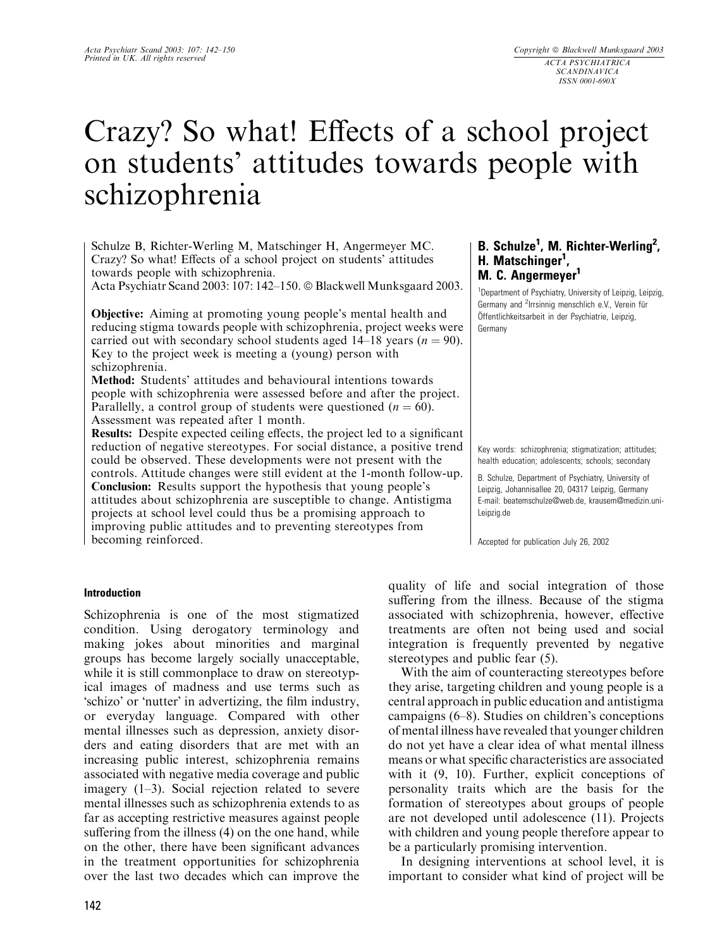# Crazy? So what! Effects of a school project on students' attitudes towards people with schizophrenia

Schulze B, Richter-Werling M, Matschinger H, Angermeyer MC. Crazy? So what! Effects of a school project on students' attitudes towards people with schizophrenia.

Acta Psychiatr Scand 2003: 107: 142–150. © Blackwell Munksgaard 2003.

Objective: Aiming at promoting young people's mental health and reducing stigma towards people with schizophrenia, project weeks were carried out with secondary school students aged 14–18 years ( $n = 90$ ). Key to the project week is meeting a (young) person with schizophrenia.

Method: Students' attitudes and behavioural intentions towards people with schizophrenia were assessed before and after the project. Parallelly, a control group of students were questioned  $(n = 60)$ . Assessment was repeated after 1 month.

Results: Despite expected ceiling effects, the project led to a significant reduction of negative stereotypes. For social distance, a positive trend could be observed. These developments were not present with the controls. Attitude changes were still evident at the 1-month follow-up. Conclusion: Results support the hypothesis that young people's attitudes about schizophrenia are susceptible to change. Antistigma projects at school level could thus be a promising approach to improving public attitudes and to preventing stereotypes from becoming reinforced.

## Introduction

Schizophrenia is one of the most stigmatized condition. Using derogatory terminology and making jokes about minorities and marginal groups has become largely socially unacceptable, while it is still commonplace to draw on stereotypical images of madness and use terms such as 'schizo' or 'nutter' in advertizing, the film industry, or everyday language. Compared with other mental illnesses such as depression, anxiety disorders and eating disorders that are met with an increasing public interest, schizophrenia remains associated with negative media coverage and public imagery (1–3). Social rejection related to severe mental illnesses such as schizophrenia extends to as far as accepting restrictive measures against people suffering from the illness (4) on the one hand, while on the other, there have been significant advances in the treatment opportunities for schizophrenia over the last two decades which can improve the

# B. Schulze<sup>1</sup>, M. Richter-Werling<sup>2</sup>, H. Matschinger<sup>1</sup>, M. C. Angermeyer<sup>1</sup>

<sup>1</sup>Department of Psychiatry, University of Leipzig, Leipzig, Germany and <sup>2</sup>Irrsinnig menschlich e.V., Verein für Öffentlichkeitsarbeit in der Psychiatrie, Leipzig, Germany

Key words: schizophrenia; stigmatization; attitudes; health education; adolescents; schools; secondary

B. Schulze, Department of Psychiatry, University of Leipzig, Johannisallee 20, 04317 Leipzig, Germany E-mail: beatemschulze@web.de, krausem@medizin.uni-Leipzig.de

Accepted for publication July 26, 2002

quality of life and social integration of those suffering from the illness. Because of the stigma associated with schizophrenia, however, effective treatments are often not being used and social integration is frequently prevented by negative stereotypes and public fear (5).

With the aim of counteracting stereotypes before they arise, targeting children and young people is a central approach in public education and antistigma campaigns (6–8). Studies on children's conceptions of mental illness have revealed that younger children do not yet have a clear idea of what mental illness means or what specific characteristics are associated with it  $(9, 10)$ . Further, explicit conceptions of personality traits which are the basis for the formation of stereotypes about groups of people are not developed until adolescence (11). Projects with children and young people therefore appear to be a particularly promising intervention.

In designing interventions at school level, it is important to consider what kind of project will be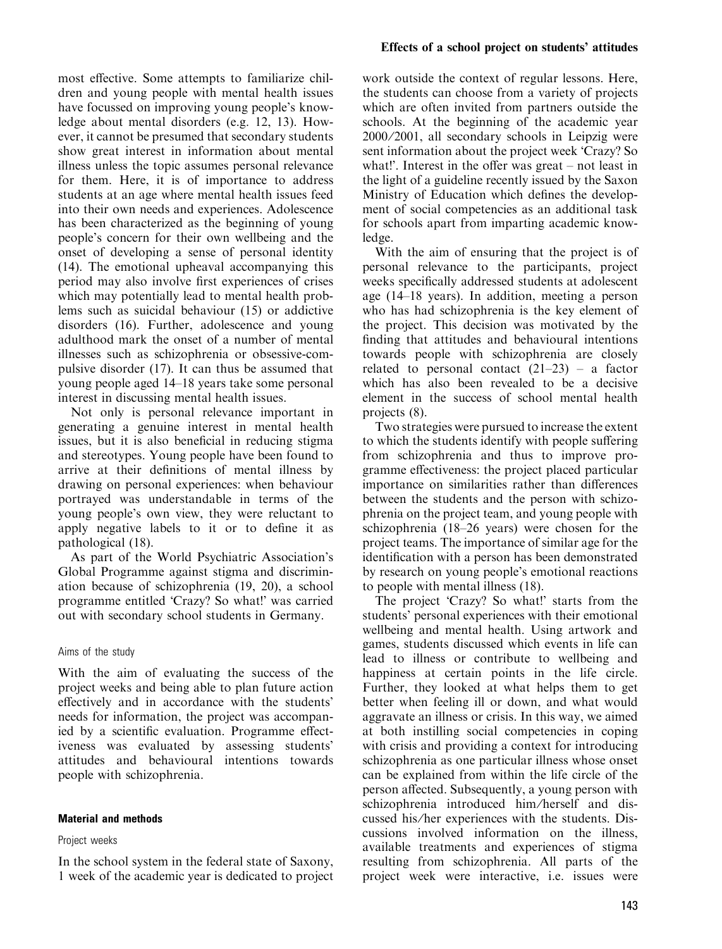most effective. Some attempts to familiarize children and young people with mental health issues have focussed on improving young people's knowledge about mental disorders (e.g. 12, 13). However, it cannot be presumed that secondary students show great interest in information about mental illness unless the topic assumes personal relevance for them. Here, it is of importance to address students at an age where mental health issues feed into their own needs and experiences. Adolescence has been characterized as the beginning of young people's concern for their own wellbeing and the onset of developing a sense of personal identity (14). The emotional upheaval accompanying this period may also involve first experiences of crises which may potentially lead to mental health problems such as suicidal behaviour (15) or addictive disorders (16). Further, adolescence and young adulthood mark the onset of a number of mental illnesses such as schizophrenia or obsessive-compulsive disorder (17). It can thus be assumed that young people aged 14–18 years take some personal interest in discussing mental health issues.

Not only is personal relevance important in generating a genuine interest in mental health issues, but it is also beneficial in reducing stigma and stereotypes. Young people have been found to arrive at their definitions of mental illness by drawing on personal experiences: when behaviour portrayed was understandable in terms of the young people's own view, they were reluctant to apply negative labels to it or to define it as pathological (18).

As part of the World Psychiatric Association's Global Programme against stigma and discrimination because of schizophrenia (19, 20), a school programme entitled 'Crazy? So what!' was carried out with secondary school students in Germany.

## Aims of the study

With the aim of evaluating the success of the project weeks and being able to plan future action effectively and in accordance with the students' needs for information, the project was accompanied by a scientific evaluation. Programme effectiveness was evaluated by assessing students' attitudes and behavioural intentions towards people with schizophrenia.

#### Material and methods

#### Project weeks

In the school system in the federal state of Saxony, 1 week of the academic year is dedicated to project

# Effects of a school project on students' attitudes

work outside the context of regular lessons. Here, the students can choose from a variety of projects which are often invited from partners outside the schools. At the beginning of the academic year 2000 ⁄ 2001, all secondary schools in Leipzig were sent information about the project week Crazy? So what!'. Interest in the offer was great – not least in the light of a guideline recently issued by the Saxon Ministry of Education which defines the development of social competencies as an additional task for schools apart from imparting academic knowledge.

With the aim of ensuring that the project is of personal relevance to the participants, project weeks specifically addressed students at adolescent age (14–18 years). In addition, meeting a person who has had schizophrenia is the key element of the project. This decision was motivated by the finding that attitudes and behavioural intentions towards people with schizophrenia are closely related to personal contact  $(21-23)$  – a factor which has also been revealed to be a decisive element in the success of school mental health projects (8).

Two strategies were pursued to increase the extent to which the students identify with people suffering from schizophrenia and thus to improve programme effectiveness: the project placed particular importance on similarities rather than differences between the students and the person with schizophrenia on the project team, and young people with schizophrenia (18–26 years) were chosen for the project teams. The importance of similar age for the identification with a person has been demonstrated by research on young people's emotional reactions to people with mental illness (18).

The project 'Crazy? So what!' starts from the students' personal experiences with their emotional wellbeing and mental health. Using artwork and games, students discussed which events in life can lead to illness or contribute to wellbeing and happiness at certain points in the life circle. Further, they looked at what helps them to get better when feeling ill or down, and what would aggravate an illness or crisis. In this way, we aimed at both instilling social competencies in coping with crisis and providing a context for introducing schizophrenia as one particular illness whose onset can be explained from within the life circle of the person affected. Subsequently, a young person with schizophrenia introduced him ⁄herself and discussed his/her experiences with the students. Discussions involved information on the illness, available treatments and experiences of stigma resulting from schizophrenia. All parts of the project week were interactive, i.e. issues were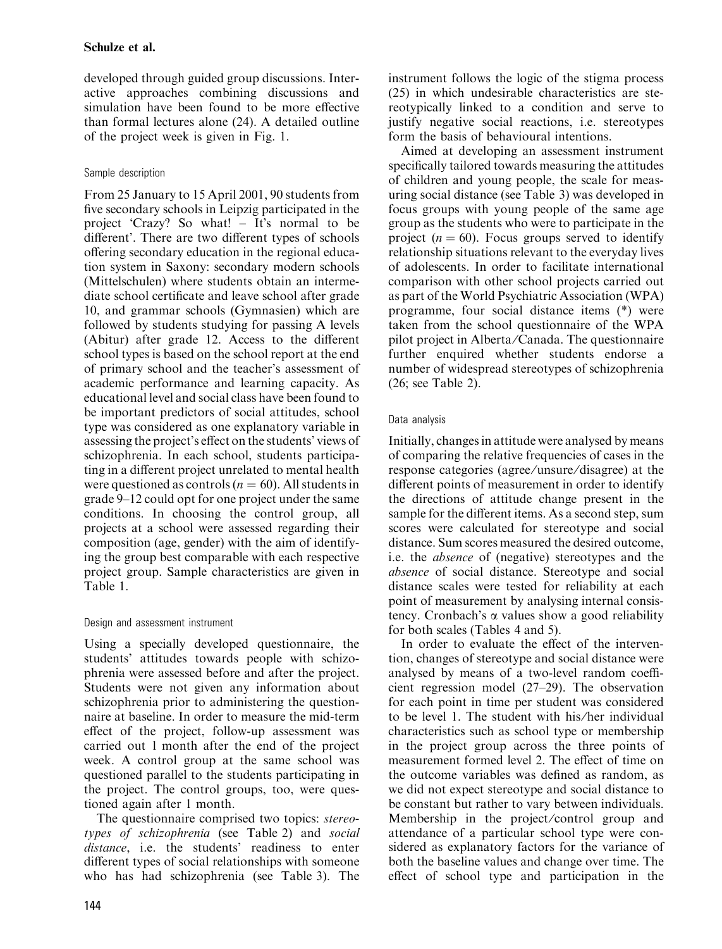developed through guided group discussions. Interactive approaches combining discussions and simulation have been found to be more effective than formal lectures alone (24). A detailed outline of the project week is given in Fig. 1.

# Sample description

From 25 January to 15 April 2001, 90 students from five secondary schools in Leipzig participated in the project 'Crazy? So what! – It's normal to be different'. There are two different types of schools offering secondary education in the regional education system in Saxony: secondary modern schools (Mittelschulen) where students obtain an intermediate school certificate and leave school after grade 10, and grammar schools (Gymnasien) which are followed by students studying for passing A levels (Abitur) after grade 12. Access to the different school types is based on the school report at the end of primary school and the teacher's assessment of academic performance and learning capacity. As educational level and social class have been found to be important predictors of social attitudes, school type was considered as one explanatory variable in assessing the project's effect on the students' views of schizophrenia. In each school, students participating in a different project unrelated to mental health were questioned as controls ( $n = 60$ ). All students in grade 9–12 could opt for one project under the same conditions. In choosing the control group, all projects at a school were assessed regarding their composition (age, gender) with the aim of identifying the group best comparable with each respective project group. Sample characteristics are given in Table 1.

## Design and assessment instrument

Using a specially developed questionnaire, the students' attitudes towards people with schizophrenia were assessed before and after the project. Students were not given any information about schizophrenia prior to administering the questionnaire at baseline. In order to measure the mid-term effect of the project, follow-up assessment was carried out 1 month after the end of the project week. A control group at the same school was questioned parallel to the students participating in the project. The control groups, too, were questioned again after 1 month.

The questionnaire comprised two topics: stereotypes of schizophrenia (see Table 2) and social distance, i.e. the students' readiness to enter different types of social relationships with someone who has had schizophrenia (see Table 3). The

instrument follows the logic of the stigma process (25) in which undesirable characteristics are stereotypically linked to a condition and serve to justify negative social reactions, i.e. stereotypes form the basis of behavioural intentions.

Aimed at developing an assessment instrument specifically tailored towards measuring the attitudes of children and young people, the scale for measuring social distance (see Table 3) was developed in focus groups with young people of the same age group as the students who were to participate in the project ( $n = 60$ ). Focus groups served to identify relationship situations relevant to the everyday lives of adolescents. In order to facilitate international comparison with other school projects carried out as part of the World Psychiatric Association (WPA) programme, four social distance items (\*) were taken from the school questionnaire of the WPA pilot project in Alberta/Canada. The questionnaire further enquired whether students endorse a number of widespread stereotypes of schizophrenia (26; see Table 2).

# Data analysis

Initially, changes in attitude were analysed by means of comparing the relative frequencies of cases in the response categories (agree/unsure/disagree) at the different points of measurement in order to identify the directions of attitude change present in the sample for the different items. As a second step, sum scores were calculated for stereotype and social distance. Sum scores measured the desired outcome, i.e. the absence of (negative) stereotypes and the absence of social distance. Stereotype and social distance scales were tested for reliability at each point of measurement by analysing internal consistency. Cronbach's  $\alpha$  values show a good reliability for both scales (Tables 4 and 5).

In order to evaluate the effect of the intervention, changes of stereotype and social distance were analysed by means of a two-level random coefficient regression model (27–29). The observation for each point in time per student was considered to be level 1. The student with his/her individual characteristics such as school type or membership in the project group across the three points of measurement formed level 2. The effect of time on the outcome variables was defined as random, as we did not expect stereotype and social distance to be constant but rather to vary between individuals. Membership in the project/control group and attendance of a particular school type were considered as explanatory factors for the variance of both the baseline values and change over time. The effect of school type and participation in the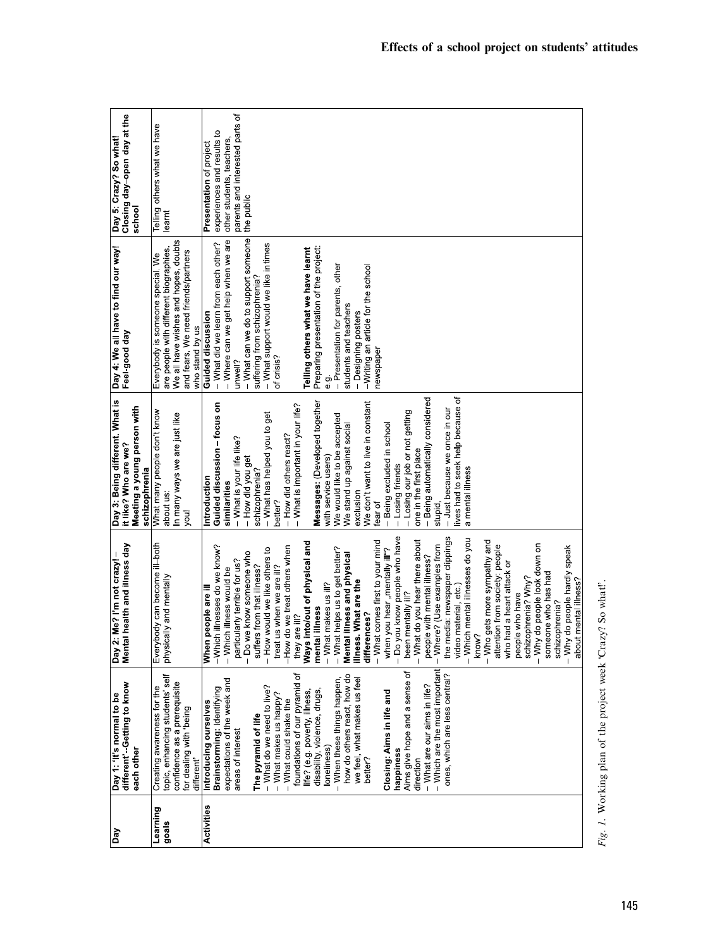| δãγ        | Day 1: 'It's normal to be                                     |                                                              | Day 3: Being different What is                 |                                                      | Day 5: Crazy? So what!          |
|------------|---------------------------------------------------------------|--------------------------------------------------------------|------------------------------------------------|------------------------------------------------------|---------------------------------|
|            | different' -Getting to know                                   | Day 2: Me? I'm not crazy! –<br>Mental health and illness day | it like? Who are we?                           | Day 4: We all have to find our way!<br>Feel-good day | Closing day-open day at the     |
|            | each other                                                    |                                                              | Meeting a young person with<br>schizophrenia   |                                                      | school                          |
| Learning   | Creating awareness for the                                    | Everybody can become ill-both                                | What many people don't know                    | Everybody is someone special We                      | Telling others what we have     |
| goals      | topic, enhancing students' self                               | physically and mentally                                      | about us:                                      | are people with different biographies                | learnt                          |
|            | confidence as a prerequisite                                  |                                                              | In many ways we are just like                  | We all have wishes and hopes, doubts                 |                                 |
|            | for dealing with 'being                                       |                                                              | jnok                                           | and fears We need friends/partners                   |                                 |
|            | different'                                                    |                                                              |                                                | who stand by us                                      |                                 |
| Activities | Introducing ourselves                                         | en people are il<br>ξ                                        | Introduction                                   | Guided discussion                                    | Presentation of project         |
|            | Brainstorming: Identifying                                    | /hich illnesses do we know?<br>₹                             | Guided discussion - focus on                   | - What did we learn from each other?                 | experiences and results to      |
|            | expectations of the week and                                  | - Which illness would be                                     | similarities                                   | - Where can we get help when we are                  | other students, teachers,       |
|            | areas of interest                                             | particularly terrible for us?<br>- Do we know someone who    | - What is your life like?                      | unwell?                                              | parents and interested parts of |
|            |                                                               |                                                              | - How did you get                              | - What can we do to support someone                  | the public                      |
|            | The pyramid of life                                           | suffers from that illness?                                   | schizophrenia?                                 | suffering from schizophrenia?                        |                                 |
|            | - What do we need to live?                                    | - How would we like others to                                | - What has helped you to get                   | - What support would we like in times                |                                 |
|            | - What makes us happy?                                        | treat us when we are ill?                                    | better?                                        | of crisis?                                           |                                 |
|            | - What could shake the                                        | -How do we treat others when                                 | - How did others react?                        |                                                      |                                 |
|            | foundations of our pyramid of                                 | they are ill?                                                | - What is important in your life?              |                                                      |                                 |
|            | life? (e.g. poverty, illness,<br>disability, violence, drugs, | Ways into/out of physical and                                |                                                | Telling others what we have learnt                   |                                 |
|            |                                                               | mental illness                                               | Messages: (Developed together                  | Preparing presentation of the project:               |                                 |
|            | loneliness)                                                   | – What makes us ill?<br>– What helps us to get better?       | with service users)                            | თ<br>თ                                               |                                 |
|            | - When these things happen                                    |                                                              | We would like to be accepted                   | - Presentation for parents, other                    |                                 |
|            | how do others react, how do                                   | Mental illness and physical                                  | We stand up against social                     | students and teachers                                |                                 |
|            | we feel, what makes us fee                                    | illness. What are the                                        | exclusion                                      | - Designing posters                                  |                                 |
|            | better?                                                       | differences?                                                 | We don't want to live in constant              | -Writing an article for the school                   |                                 |
|            |                                                               | - What comes first to your mind                              | fear of                                        | newspaper                                            |                                 |
|            | Closing: Aims in life and                                     | when you hear "mentally ill"?                                | - Being excluded in school                     |                                                      |                                 |
|            | happiness                                                     | - Do you know people who have                                | - Losing friends                               |                                                      |                                 |
|            | Aims give hope and a sense of                                 | been mentally ill?                                           | - Losing our job or not getting                |                                                      |                                 |
|            | direction                                                     | - What do you hear there about                               | one in the first place                         |                                                      |                                 |
|            | - What are our aims in life?                                  | people with mental illness?                                  | Being automatically considered<br>$\mathbf{I}$ |                                                      |                                 |
|            | - Which are the most important                                | - Where? (Use examples from                                  | stupid,                                        |                                                      |                                 |
|            | ones, which are less central?                                 | the media: newspaper clippings<br>video material, etc.)      | - Just because we once in our                  |                                                      |                                 |
|            |                                                               |                                                              | lives had to seek help because of              |                                                      |                                 |
|            |                                                               | - Which mental illnesses do you                              | a mental illness                               |                                                      |                                 |
|            |                                                               | know?                                                        |                                                |                                                      |                                 |
|            |                                                               | - Who gets more sympathy and                                 |                                                |                                                      |                                 |
|            |                                                               | attention from society: people<br>who had a heart attack or  |                                                |                                                      |                                 |
|            |                                                               |                                                              |                                                |                                                      |                                 |
|            |                                                               | people who have<br>schizophrenia? Why?                       |                                                |                                                      |                                 |
|            |                                                               | - Why do people look down on                                 |                                                |                                                      |                                 |
|            |                                                               | someone who has had                                          |                                                |                                                      |                                 |
|            |                                                               | schizophrenia?                                               |                                                |                                                      |                                 |
|            |                                                               | - Why do people hardly speak                                 |                                                |                                                      |                                 |
|            |                                                               | about mental illness?                                        |                                                |                                                      |                                 |

.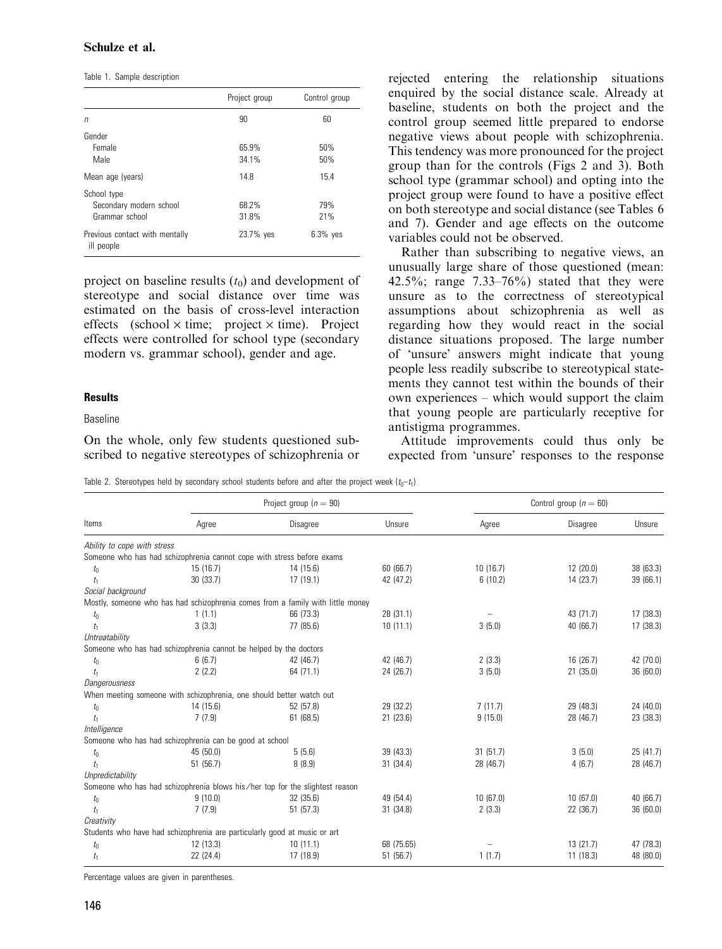Table 1. Sample description

|                                                          | Project group  | Control group |
|----------------------------------------------------------|----------------|---------------|
| n                                                        | 90             | 60            |
| Gender<br>Female<br>Male                                 | 65.9%<br>34.1% | 50%<br>50%    |
| Mean age (years)                                         | 14.8           | 15.4          |
| School type<br>Secondary modern school<br>Grammar school | 68.2%<br>31.8% | 79%<br>21%    |
| Previous contact with mentally<br>ill people             | 23.7% yes      | $6.3%$ yes    |

project on baseline results  $(t_0)$  and development of stereotype and social distance over time was estimated on the basis of cross-level interaction effects (school  $\times$  time; project  $\times$  time). Project effects were controlled for school type (secondary modern vs. grammar school), gender and age.

#### Results

Baseline

On the whole, only few students questioned subscribed to negative stereotypes of schizophrenia or

rejected entering the relationship situations enquired by the social distance scale. Already at baseline, students on both the project and the control group seemed little prepared to endorse negative views about people with schizophrenia. This tendency was more pronounced for the project group than for the controls (Figs 2 and 3). Both school type (grammar school) and opting into the project group were found to have a positive effect on both stereotype and social distance (see Tables 6 and 7). Gender and age effects on the outcome variables could not be observed.

Rather than subscribing to negative views, an unusually large share of those questioned (mean: 42.5%; range  $7.33-76\%$  stated that they were unsure as to the correctness of stereotypical assumptions about schizophrenia as well as regarding how they would react in the social distance situations proposed. The large number of 'unsure' answers might indicate that young people less readily subscribe to stereotypical statements they cannot test within the bounds of their own experiences – which would support the claim that young people are particularly receptive for antistigma programmes.

Attitude improvements could thus only be expected from 'unsure' responses to the response

Table 2. Stereotypes held by secondary school students before and after the project week  $(t_0-t_1)$ 

|                             |                                                                                 | Project group ( $n = 90$ ) |            | Control group ( $n = 60$ ) |           |           |
|-----------------------------|---------------------------------------------------------------------------------|----------------------------|------------|----------------------------|-----------|-----------|
| Items                       | Agree                                                                           | <b>Disagree</b>            | Unsure     | Agree                      | Disagree  | Unsure    |
| Ability to cope with stress |                                                                                 |                            |            |                            |           |           |
|                             | Someone who has had schizophrenia cannot cope with stress before exams          |                            |            |                            |           |           |
| $t_{0}$                     | 15(16.7)                                                                        | 14 (15.6)                  | 60 (66.7)  | 10(16.7)                   | 12(20.0)  | 38 (63.3) |
| $t_1$                       | 30(33.7)                                                                        | 17(19.1)                   | 42 (47.2)  | 6(10.2)                    | 14 (23.7) | 39 (66.1) |
| Social background           |                                                                                 |                            |            |                            |           |           |
|                             | Mostly, someone who has had schizophrenia comes from a family with little money |                            |            |                            |           |           |
| $t_{0}$                     | 1(1.1)                                                                          | 66 (73.3)                  | 28 (31.1)  |                            | 43 (71.7) | 17(38.3)  |
| $t_{1}$                     | 3(3.3)                                                                          | 77 (85.6)                  | 10(11.1)   | 3(5.0)                     | 40 (66.7) | 17(38.3)  |
| Untreatability              |                                                                                 |                            |            |                            |           |           |
|                             | Someone who has had schizophrenia cannot be helped by the doctors               |                            |            |                            |           |           |
| $t_{0}$                     | 6(6.7)                                                                          | 42 (46.7)                  | 42 (46.7)  | 2(3.3)                     | 16 (26.7) | 42 (70.0) |
| $t_1$                       | 2(2.2)                                                                          | 64 (71.1)                  | 24 (26.7)  | 3(5.0)                     | 21(35.0)  | 36 (60.0) |
| Dangerousness               |                                                                                 |                            |            |                            |           |           |
|                             | When meeting someone with schizophrenia, one should better watch out            |                            |            |                            |           |           |
| $t_{0}$                     | 14 (15.6)                                                                       | 52 (57.8)                  | 29 (32.2)  | 7(11.7)                    | 29 (48.3) | 24 (40.0) |
| $t_1$                       | 7(7.9)                                                                          | 61 (68.5)                  | 21(23.6)   | 9(15.0)                    | 28 (46.7) | 23 (38.3) |
| Intelligence                |                                                                                 |                            |            |                            |           |           |
|                             | Someone who has had schizophrenia can be good at school                         |                            |            |                            |           |           |
| $t_{0}$                     | 45 (50.0)                                                                       | 5(5.6)                     | 39 (43.3)  | 31(51.7)                   | 3(5.0)    | 25(41.7)  |
| $t_1$                       | 51(56.7)                                                                        | 8(8.9)                     | 31(34.4)   | 28 (46.7)                  | 4(6.7)    | 28 (46.7) |
| Unpredictability            |                                                                                 |                            |            |                            |           |           |
|                             | Someone who has had schizophrenia blows his/her top for the slightest reason    |                            |            |                            |           |           |
| $t_{0}$                     | 9(10.0)                                                                         | 32(35.6)                   | 49 (54.4)  | 10(67.0)                   | 10(67.0)  | 40 (66.7) |
| $t_{1}$                     | 7(7.9)                                                                          | 51 (57.3)                  | 31(34.8)   | 2(3.3)                     | 22 (36.7) | 36 (60.0) |
| Creativity                  |                                                                                 |                            |            |                            |           |           |
|                             | Students who have had schizophrenia are particularly good at music or art       |                            |            |                            |           |           |
| $t_{0}$                     | 12(13.3)                                                                        | 10(11.1)                   | 68 (75.65) |                            | 13(21.7)  | 47 (78.3) |
| $t_1$                       | 22 (24.4)                                                                       | 17 (18.9)                  | 51(56.7)   | 1(1.7)                     | 11(18.3)  | 48 (80.0) |

Percentage values are given in parentheses.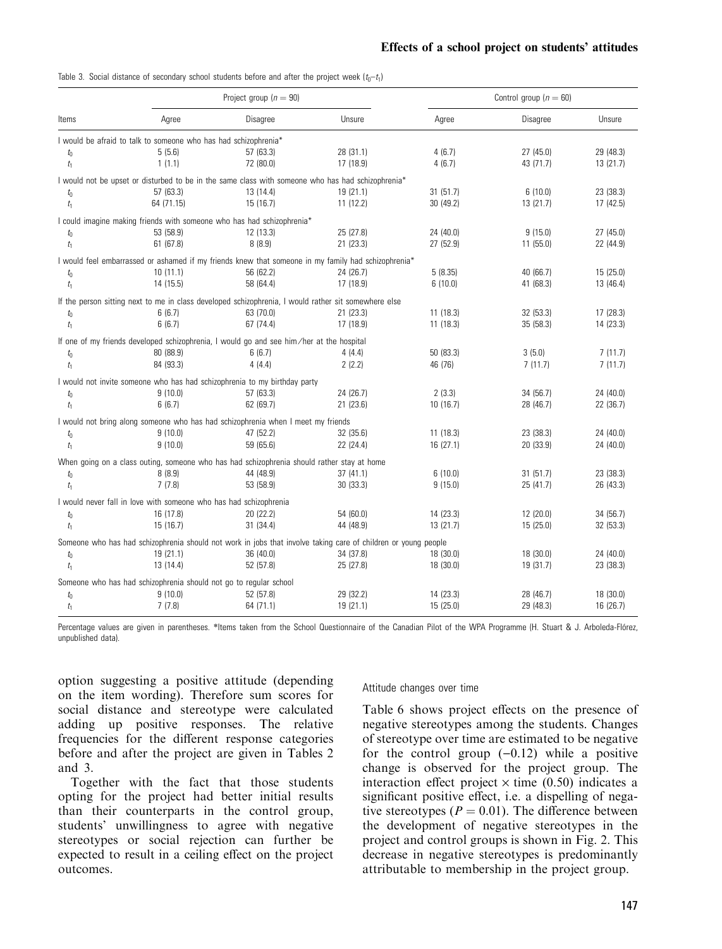|  | Table 3. Social distance of secondary school students before and after the project week $(t_0-t_1)$ |  |
|--|-----------------------------------------------------------------------------------------------------|--|
|  |                                                                                                     |  |

| Project group $(n = 90)$ |                                                                                                                |           | Control group ( $n = 60$ ) |           |           |           |
|--------------------------|----------------------------------------------------------------------------------------------------------------|-----------|----------------------------|-----------|-----------|-----------|
| Items                    | Agree                                                                                                          | Disagree  | Unsure                     | Agree     | Disagree  | Unsure    |
|                          | I would be afraid to talk to someone who has had schizophrenia*                                                |           |                            |           |           |           |
| $t_{0}$                  | 5(5.6)                                                                                                         | 57 (63.3) | 28 (31.1)                  | 4(6.7)    | 27(45.0)  | 29 (48.3) |
| t <sub>1</sub>           | 1(1.1)                                                                                                         | 72 (80.0) | 17 (18.9)                  | 4(6.7)    | 43 (71.7) | 13 (21.7) |
|                          | I would not be upset or disturbed to be in the same class with someone who has had schizophrenia*              |           |                            |           |           |           |
| $t_0$                    | 57 (63.3)                                                                                                      | 13 (14.4) | 19 (21.1)                  | 31(51.7)  | 6(10.0)   | 23 (38.3) |
| $t_1$                    | 64 (71.15)                                                                                                     | 15(16.7)  | 11 (12.2)                  | 30 (49.2) | 13 (21.7) | 17 (42.5) |
|                          | I could imagine making friends with someone who has had schizophrenia*                                         |           |                            |           |           |           |
| $t_{0}$                  | 53 (58.9)                                                                                                      | 12 (13.3) | 25 (27.8)                  | 24 (40.0) | 9(15.0)   | 27 (45.0) |
| $t_1$                    | 61 (67.8)                                                                                                      | 8(8.9)    | 21 (23.3)                  | 27 (52.9) | 11(55.0)  | 22 (44.9) |
|                          | I would feel embarrassed or ashamed if my friends knew that someone in my family had schizophrenia*            |           |                            |           |           |           |
| $t_0$                    | 10(11.1)                                                                                                       | 56 (62.2) | 24 (26.7)                  | 5(8.35)   | 40 (66.7) | 15 (25.0) |
| t <sub>1</sub>           | 14 (15.5)                                                                                                      | 58 (64.4) | 17 (18.9)                  | 6(10.0)   | 41 (68.3) | 13 (46.4) |
|                          | If the person sitting next to me in class developed schizophrenia, I would rather sit somewhere else           |           |                            |           |           |           |
| $t_{0}$                  | 6(6.7)                                                                                                         | 63 (70.0) | 21 (23.3)                  | 11 (18.3) | 32 (53.3) | 17 (28.3) |
| $t_1$                    | 6(6.7)                                                                                                         | 67 (74.4) | 17 (18.9)                  | 11 (18.3) | 35 (58.3) | 14 (23.3) |
|                          | If one of my friends developed schizophrenia, I would go and see him/her at the hospital                       |           |                            |           |           |           |
| $t_0$                    | 80 (88.9)                                                                                                      | 6(6.7)    | 4(4.4)                     | 50 (83.3) | 3(5.0)    | 7(11.7)   |
| $t_1$                    | 84 (93.3)                                                                                                      | 4(4.4)    | 2(2.2)                     | 46 (76)   | 7(11.7)   | 7(11.7)   |
|                          | I would not invite someone who has had schizophrenia to my birthday party                                      |           |                            |           |           |           |
| $t_{0}$                  | 9(10.0)                                                                                                        | 57 (63.3) | 24 (26.7)                  | 2(3.3)    | 34 (56.7) | 24 (40.0) |
| $t_1$                    | 6(6.7)                                                                                                         | 62 (69.7) | 21 (23.6)                  | 10(16.7)  | 28 (46.7) | 22 (36.7) |
|                          | I would not bring along someone who has had schizophrenia when I meet my friends                               |           |                            |           |           |           |
| $t_{0}$                  | 9(10.0)                                                                                                        | 47 (52.2) | 32 (35.6)                  | 11(18.3)  | 23 (38.3) | 24 (40.0) |
| $t_1$                    | 9(10.0)                                                                                                        | 59 (65.6) | 22 (24.4)                  | 16 (27.1) | 20 (33.9) | 24 (40.0) |
|                          | When going on a class outing, someone who has had schizophrenia should rather stay at home                     |           |                            |           |           |           |
| $t_{0}$                  | 8(8.9)                                                                                                         | 44 (48.9) | 37(41.1)                   | 6(10.0)   | 31(51.7)  | 23 (38.3) |
| t <sub>1</sub>           | 7(7.8)                                                                                                         | 53 (58.9) | 30 (33.3)                  | 9(15.0)   | 25 (41.7) | 26 (43.3) |
|                          | I would never fall in love with someone who has had schizophrenia                                              |           |                            |           |           |           |
| $t_{0}$                  | 16 (17.8)                                                                                                      | 20 (22.2) | 54 (60.0)                  | 14 (23.3) | 12 (20.0) | 34 (56.7) |
| t <sub>1</sub>           | 15 (16.7)                                                                                                      | 31 (34.4) | 44 (48.9)                  | 13(21.7)  | 15 (25.0) | 32 (53.3) |
|                          | Someone who has had schizophrenia should not work in jobs that involve taking care of children or young people |           |                            |           |           |           |
| $t_{0}$                  | 19 (21.1)                                                                                                      | 36 (40.0) | 34 (37.8)                  | 18 (30.0) | 18 (30.0) | 24 (40.0) |
| $t_1$                    | 13 (14.4)                                                                                                      | 52 (57.8) | 25 (27.8)                  | 18 (30.0) | 19 (31.7) | 23 (38.3) |
|                          | Someone who has had schizophrenia should not go to regular school                                              |           |                            |           |           |           |
| $t_{0}$                  | 9(10.0)                                                                                                        | 52 (57.8) | 29 (32.2)                  | 14 (23.3) | 28 (46.7) | 18 (30.0) |
| $t_1$                    | 7(7.8)                                                                                                         | 64 (71.1) | 19 (21.1)                  | 15 (25.0) | 29 (48.3) | 16 (26.7) |

Percentage values are given in parentheses. \*Items taken from the School Questionnaire of the Canadian Pilot of the WPA Programme (H. Stuart & J. Arboleda-Flórez, unpublished data).

option suggesting a positive attitude (depending on the item wording). Therefore sum scores for social distance and stereotype were calculated adding up positive responses. The relative frequencies for the different response categories before and after the project are given in Tables 2 and 3.

Together with the fact that those students opting for the project had better initial results than their counterparts in the control group, students' unwillingness to agree with negative stereotypes or social rejection can further be expected to result in a ceiling effect on the project outcomes.

#### Attitude changes over time

Table 6 shows project effects on the presence of negative stereotypes among the students. Changes of stereotype over time are estimated to be negative for the control group  $(-0.12)$  while a positive change is observed for the project group. The interaction effect project  $\times$  time (0.50) indicates a significant positive effect, i.e. a dispelling of negative stereotypes ( $P = 0.01$ ). The difference between the development of negative stereotypes in the project and control groups is shown in Fig. 2. This decrease in negative stereotypes is predominantly attributable to membership in the project group.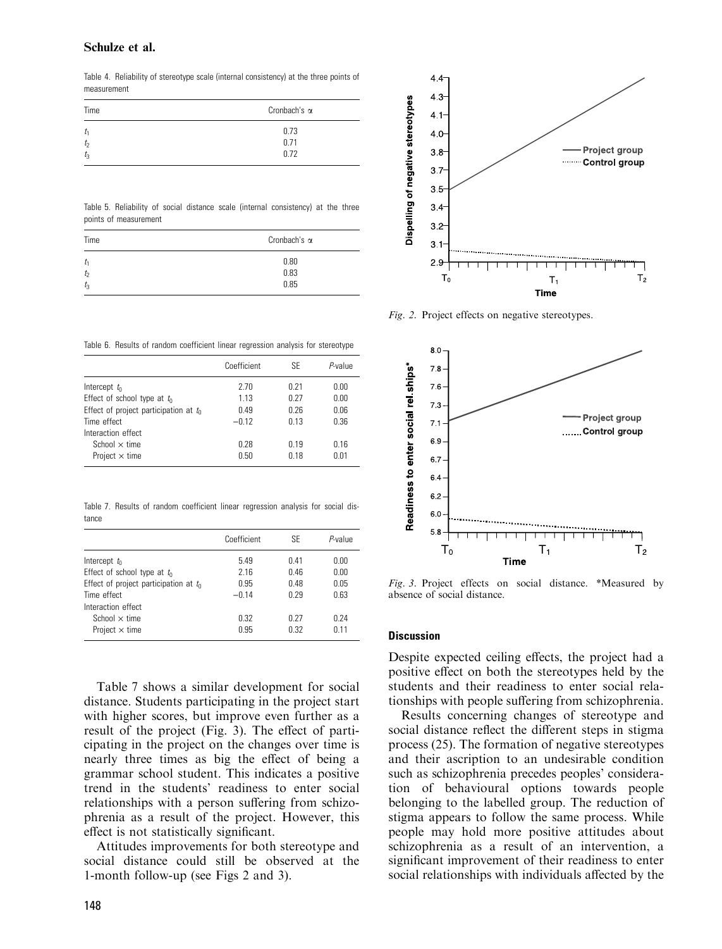#### Schulze et al.

Table 4. Reliability of stereotype scale (internal consistency) at the three points of measurement

| Time        | Cronbach's $\alpha$  |  |  |
|-------------|----------------------|--|--|
| $t_2$<br>tз | 0.73<br>0.71<br>0.72 |  |  |

Table 5. Reliability of social distance scale (internal consistency) at the three points of measurement

| Time           | Cronbach's $\alpha$ |
|----------------|---------------------|
| $t_1$          | 0.80                |
| t <sub>2</sub> | 0.83                |
| $t_3$          | 0.85                |

Table 6. Results of random coefficient linear regression analysis for stereotype

|                                          | Coefficient | SF   | P-value |
|------------------------------------------|-------------|------|---------|
| Intercept $t_0$                          | 2.70        | 0.21 | 0.00    |
| Effect of school type at $t_0$           | 1.13        | 0.27 | 0.00    |
| Effect of project participation at $t_0$ | 0.49        | 0.26 | 0.06    |
| Time effect                              | $-0.12$     | 0.13 | 0.36    |
| Interaction effect                       |             |      |         |
| School $\times$ time                     | 0.28        | 0.19 | 0.16    |
| Project $\times$ time                    | 0.50        | 0.18 | 0.01    |

Table 7. Results of random coefficient linear regression analysis for social distance

|                                          | Coefficient | SF   | P-value |
|------------------------------------------|-------------|------|---------|
| Intercept $t_0$                          | 5.49        | 0.41 | 0.00    |
| Effect of school type at $t_0$           | 2.16        | 0.46 | 0.00    |
| Effect of project participation at $t_0$ | 0.95        | 0.48 | 0.05    |
| Time effect                              | $-0.14$     | 0.29 | 0.63    |
| Interaction effect                       |             |      |         |
| School $\times$ time                     | 0.32        | 0.27 | 0.24    |
| Project $\times$ time                    | 0.95        | 0.32 | 0.11    |

Table 7 shows a similar development for social distance. Students participating in the project start with higher scores, but improve even further as a result of the project (Fig. 3). The effect of participating in the project on the changes over time is nearly three times as big the effect of being a grammar school student. This indicates a positive trend in the students' readiness to enter social relationships with a person suffering from schizophrenia as a result of the project. However, this effect is not statistically significant.

Attitudes improvements for both stereotype and social distance could still be observed at the 1-month follow-up (see Figs 2 and 3).



Fig. 2. Project effects on negative stereotypes.



Fig. 3. Project effects on social distance. \*Measured by absence of social distance.

#### **Discussion**

Despite expected ceiling effects, the project had a positive effect on both the stereotypes held by the students and their readiness to enter social relationships with people suffering from schizophrenia.

Results concerning changes of stereotype and social distance reflect the different steps in stigma process (25). The formation of negative stereotypes and their ascription to an undesirable condition such as schizophrenia precedes peoples' consideration of behavioural options towards people belonging to the labelled group. The reduction of stigma appears to follow the same process. While people may hold more positive attitudes about schizophrenia as a result of an intervention, a significant improvement of their readiness to enter social relationships with individuals affected by the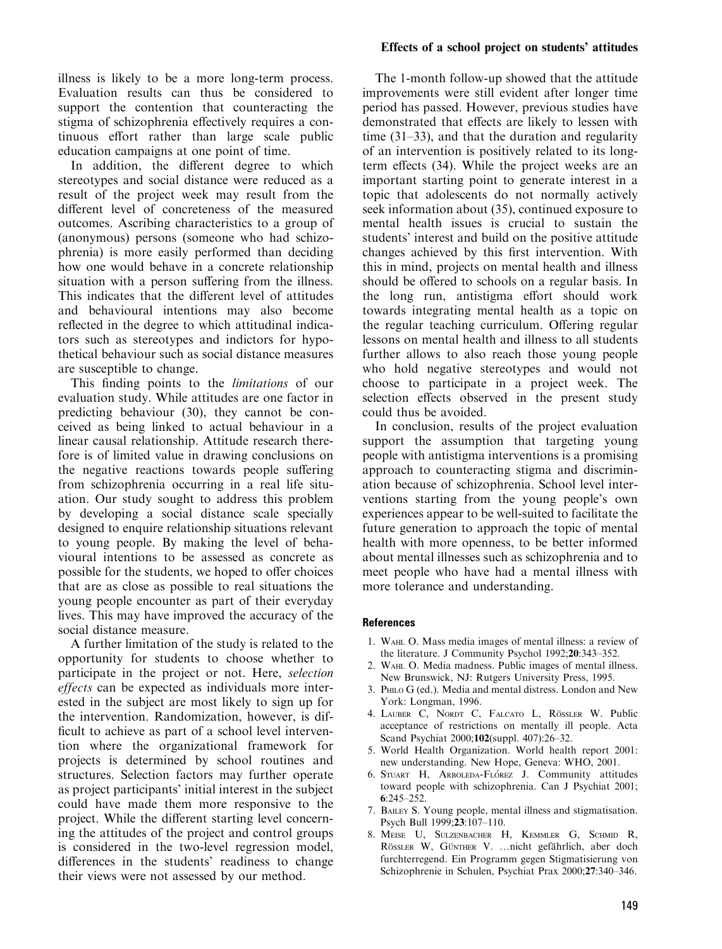illness is likely to be a more long-term process. Evaluation results can thus be considered to support the contention that counteracting the stigma of schizophrenia effectively requires a continuous effort rather than large scale public education campaigns at one point of time.

In addition, the different degree to which stereotypes and social distance were reduced as a result of the project week may result from the different level of concreteness of the measured outcomes. Ascribing characteristics to a group of (anonymous) persons (someone who had schizophrenia) is more easily performed than deciding how one would behave in a concrete relationship situation with a person suffering from the illness. This indicates that the different level of attitudes and behavioural intentions may also become reflected in the degree to which attitudinal indicators such as stereotypes and indictors for hypothetical behaviour such as social distance measures are susceptible to change.

This finding points to the *limitations* of our evaluation study. While attitudes are one factor in predicting behaviour (30), they cannot be conceived as being linked to actual behaviour in a linear causal relationship. Attitude research therefore is of limited value in drawing conclusions on the negative reactions towards people suffering from schizophrenia occurring in a real life situation. Our study sought to address this problem by developing a social distance scale specially designed to enquire relationship situations relevant to young people. By making the level of behavioural intentions to be assessed as concrete as possible for the students, we hoped to offer choices that are as close as possible to real situations the young people encounter as part of their everyday lives. This may have improved the accuracy of the social distance measure.

A further limitation of the study is related to the opportunity for students to choose whether to participate in the project or not. Here, selection effects can be expected as individuals more interested in the subject are most likely to sign up for the intervention. Randomization, however, is difficult to achieve as part of a school level intervention where the organizational framework for projects is determined by school routines and structures. Selection factors may further operate as project participants' initial interest in the subject could have made them more responsive to the project. While the different starting level concerning the attitudes of the project and control groups is considered in the two-level regression model, differences in the students' readiness to change their views were not assessed by our method.

#### Effects of a school project on students' attitudes

The 1-month follow-up showed that the attitude improvements were still evident after longer time period has passed. However, previous studies have demonstrated that effects are likely to lessen with time (31–33), and that the duration and regularity of an intervention is positively related to its longterm effects (34). While the project weeks are an important starting point to generate interest in a topic that adolescents do not normally actively seek information about (35), continued exposure to mental health issues is crucial to sustain the students' interest and build on the positive attitude changes achieved by this first intervention. With this in mind, projects on mental health and illness should be offered to schools on a regular basis. In the long run, antistigma effort should work towards integrating mental health as a topic on the regular teaching curriculum. Offering regular lessons on mental health and illness to all students further allows to also reach those young people who hold negative stereotypes and would not choose to participate in a project week. The selection effects observed in the present study could thus be avoided.

In conclusion, results of the project evaluation support the assumption that targeting young people with antistigma interventions is a promising approach to counteracting stigma and discrimination because of schizophrenia. School level interventions starting from the young people's own experiences appear to be well-suited to facilitate the future generation to approach the topic of mental health with more openness, to be better informed about mental illnesses such as schizophrenia and to meet people who have had a mental illness with more tolerance and understanding.

#### References

- 1. Wahl O. Mass media images of mental illness: a review of the literature. J Community Psychol 1992;20:343–352.
- 2. Wahl O. Media madness. Public images of mental illness. New Brunswick, NJ: Rutgers University Press, 1995.
- 3. Philo G (ed.). Media and mental distress. London and New York: Longman, 1996.
- 4. LAUBER C, NORDT C, FALCATO L, RÖSSLER W. Public acceptance of restrictions on mentally ill people. Acta Scand Psychiat 2000;102(suppl. 407):26–32.
- 5. World Health Organization. World health report 2001: new understanding. New Hope, Geneva: WHO, 2001.
- 6. STUART H, ARBOLEDA-FLÓREZ J. Community attitudes toward people with schizophrenia. Can J Psychiat 2001; 6:245–252.
- 7. BAILEY S. Young people, mental illness and stigmatisation. Psych Bull 1999;23:107–110.
- 8. Meise U, Sulzenbacher H, Kemmler G, Schmid R, RÖSSLER W, GÜNTHER V. ... nicht gefährlich, aber doch furchterregend. Ein Programm gegen Stigmatisierung von Schizophrenie in Schulen, Psychiat Prax 2000;27:340–346.